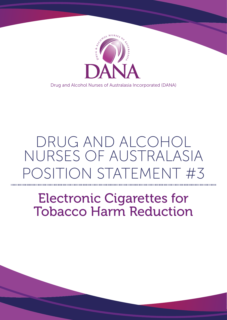

Drug and Alcohol Nurses of Australasia Incorporated (DANA)

## DRUG AND ALCOHOL NURSES OF AUSTRALASIA OSITION STATEMENT #3

# Electronic Cigarettes for Tobacco Harm Reduction